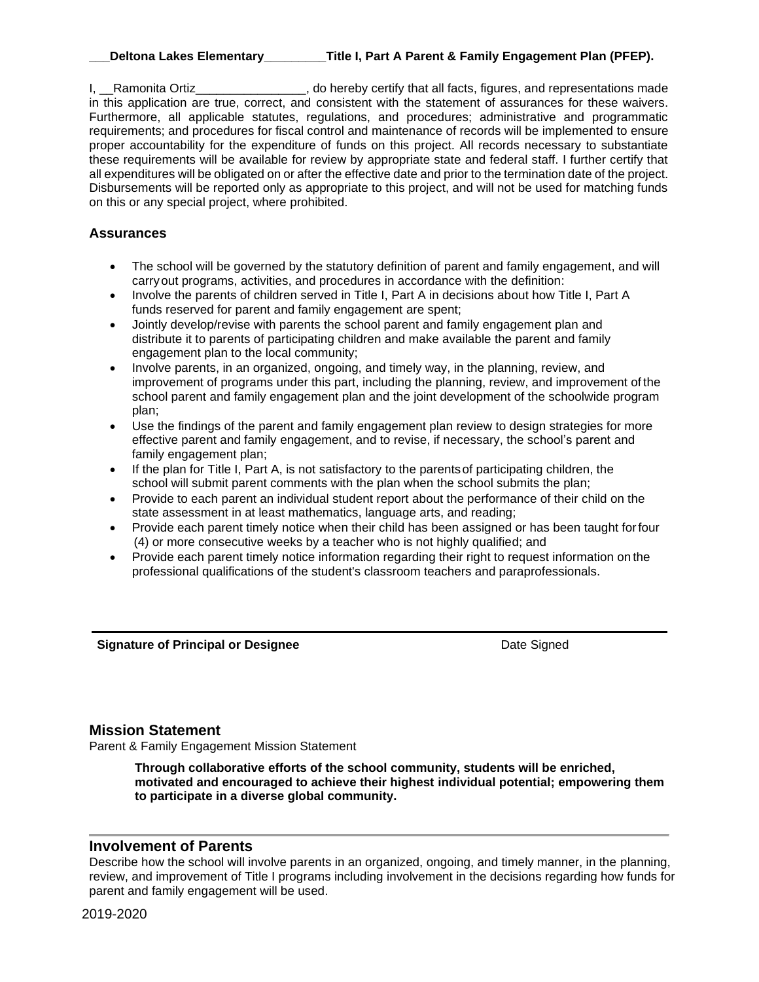I, Ramonita Ortiz<br>
Lettia Cortiz and representations made in this application are true, correct, and consistent with the statement of assurances for these waivers. Furthermore, all applicable statutes, regulations, and procedures; administrative and programmatic requirements; and procedures for fiscal control and maintenance of records will be implemented to ensure proper accountability for the expenditure of funds on this project. All records necessary to substantiate these requirements will be available for review by appropriate state and federal staff. I further certify that all expenditures will be obligated on or after the effective date and prior to the termination date of the project. Disbursements will be reported only as appropriate to this project, and will not be used for matching funds on this or any special project, where prohibited.

### **Assurances**

- The school will be governed by the statutory definition of parent and family engagement, and will carryout programs, activities, and procedures in accordance with the definition:
- Involve the parents of children served in Title I, Part A in decisions about how Title I, Part A funds reserved for parent and family engagement are spent;
- Jointly develop/revise with parents the school parent and family engagement plan and distribute it to parents of participating children and make available the parent and family engagement plan to the local community;
- Involve parents, in an organized, ongoing, and timely way, in the planning, review, and improvement of programs under this part, including the planning, review, and improvement of the school parent and family engagement plan and the joint development of the schoolwide program plan;
- Use the findings of the parent and family engagement plan review to design strategies for more effective parent and family engagement, and to revise, if necessary, the school's parent and family engagement plan;
- If the plan for Title I, Part A, is not satisfactory to the parentsof participating children, the school will submit parent comments with the plan when the school submits the plan;
- Provide to each parent an individual student report about the performance of their child on the state assessment in at least mathematics, language arts, and reading;
- Provide each parent timely notice when their child has been assigned or has been taught forfour (4) or more consecutive weeks by a teacher who is not highly qualified; and
- Provide each parent timely notice information regarding their right to request information on the professional qualifications of the student's classroom teachers and paraprofessionals.

**Signature of Principal or Designee Date Signed** Date Signed

## **Mission Statement**

Parent & Family Engagement Mission Statement

**Through collaborative efforts of the school community, students will be enriched, motivated and encouraged to achieve their highest individual potential; empowering them to participate in a diverse global community.**

## **Involvement of Parents**

Describe how the school will involve parents in an organized, ongoing, and timely manner, in the planning, review, and improvement of Title I programs including involvement in the decisions regarding how funds for parent and family engagement will be used.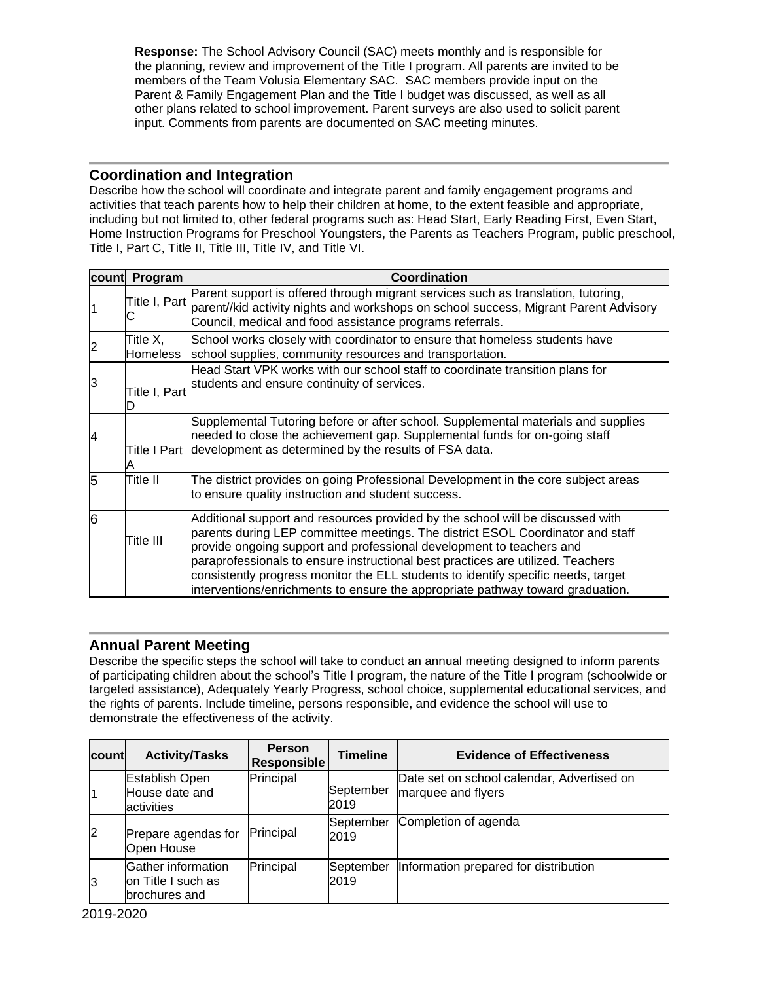**Response:** The School Advisory Council (SAC) meets monthly and is responsible for the planning, review and improvement of the Title I program. All parents are invited to be members of the Team Volusia Elementary SAC. SAC members provide input on the Parent & Family Engagement Plan and the Title I budget was discussed, as well as all other plans related to school improvement. Parent surveys are also used to solicit parent input. Comments from parents are documented on SAC meeting minutes.

## **Coordination and Integration**

Describe how the school will coordinate and integrate parent and family engagement programs and activities that teach parents how to help their children at home, to the extent feasible and appropriate, including but not limited to, other federal programs such as: Head Start, Early Reading First, Even Start, Home Instruction Programs for Preschool Youngsters, the Parents as Teachers Program, public preschool, Title I, Part C, Title II, Title III, Title IV, and Title VI.

| <b>count</b>   | Program              | Coordination                                                                                                                                                                                                                                                                                                                                                                                                                                                                                       |
|----------------|----------------------|----------------------------------------------------------------------------------------------------------------------------------------------------------------------------------------------------------------------------------------------------------------------------------------------------------------------------------------------------------------------------------------------------------------------------------------------------------------------------------------------------|
|                |                      | Parent support is offered through migrant services such as translation, tutoring,<br>Title I, Part parent/kid activity nights and workshops on school success, Migrant Parent Advisory<br>Council, medical and food assistance programs referrals.                                                                                                                                                                                                                                                 |
| $\overline{c}$ | Title X,<br>Homeless | School works closely with coordinator to ensure that homeless students have<br>school supplies, community resources and transportation.                                                                                                                                                                                                                                                                                                                                                            |
| IЗ             | Title I, Part        | Head Start VPK works with our school staff to coordinate transition plans for<br>students and ensure continuity of services.                                                                                                                                                                                                                                                                                                                                                                       |
| $\overline{4}$ |                      | Supplemental Tutoring before or after school. Supplemental materials and supplies<br>needed to close the achievement gap. Supplemental funds for on-going staff<br>Title I Part development as determined by the results of FSA data.                                                                                                                                                                                                                                                              |
| 5              | Title II             | The district provides on going Professional Development in the core subject areas<br>to ensure quality instruction and student success.                                                                                                                                                                                                                                                                                                                                                            |
| 6              | Title III            | Additional support and resources provided by the school will be discussed with<br>parents during LEP committee meetings. The district ESOL Coordinator and staff<br>provide ongoing support and professional development to teachers and<br>paraprofessionals to ensure instructional best practices are utilized. Teachers<br>consistently progress monitor the ELL students to identify specific needs, target<br>interventions/enrichments to ensure the appropriate pathway toward graduation. |

# **Annual Parent Meeting**

Describe the specific steps the school will take to conduct an annual meeting designed to inform parents of participating children about the school's Title I program, the nature of the Title I program (schoolwide or targeted assistance), Adequately Yearly Progress, school choice, supplemental educational services, and the rights of parents. Include timeline, persons responsible, and evidence the school will use to demonstrate the effectiveness of the activity.

| <b>count</b>   | <b>Activity/Tasks</b>                                      | <b>Person</b><br><b>Responsible</b> | <b>Timeline</b>   | <b>Evidence of Effectiveness</b>                                 |
|----------------|------------------------------------------------------------|-------------------------------------|-------------------|------------------------------------------------------------------|
| 11             | Establish Open<br>House date and<br><b>activities</b>      | Principal                           | September<br>2019 | Date set on school calendar, Advertised on<br>marquee and flyers |
| $\overline{2}$ | Prepare agendas for<br>Open House                          | Principal                           | September<br>2019 | Completion of agenda                                             |
| $\mathbf{3}$   | Gather information<br>lon Title I such as<br>brochures and | Principal                           | September<br>2019 | Information prepared for distribution                            |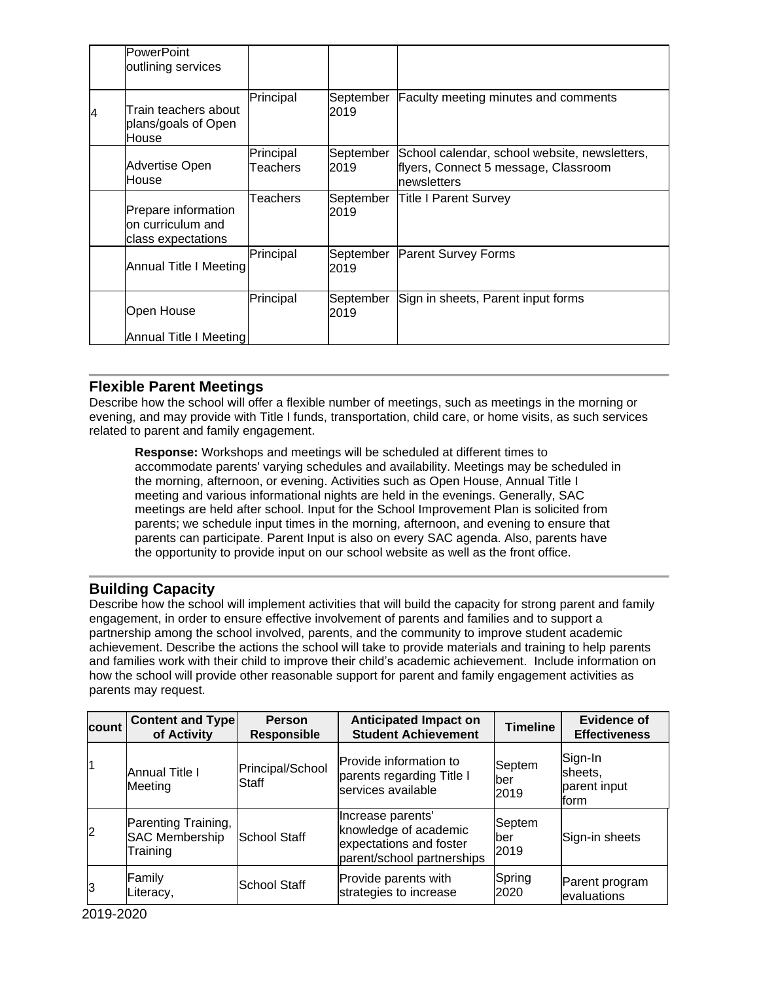|   | <b>PowerPoint</b><br>outlining services                         |                       |                   |                                                                                                       |
|---|-----------------------------------------------------------------|-----------------------|-------------------|-------------------------------------------------------------------------------------------------------|
| 4 | Train teachers about<br>plans/goals of Open<br>House            | Principal             | September<br>2019 | <b>Faculty meeting minutes and comments</b>                                                           |
|   | Advertise Open<br>House                                         | Principal<br>Teachers | September<br>2019 | School calendar, school website, newsletters,<br>flyers, Connect 5 message, Classroom<br>Inewsletters |
|   | Prepare information<br>lon curriculum and<br>class expectations | Teachers              | September<br>2019 | Title I Parent Survey                                                                                 |
|   | Annual Title I Meeting                                          | Principal             | September<br>2019 | <b>Parent Survey Forms</b>                                                                            |
|   | Open House                                                      | Principal             | September<br>2019 | Sign in sheets, Parent input forms                                                                    |
|   | Annual Title I Meeting                                          |                       |                   |                                                                                                       |

## **Flexible Parent Meetings**

Describe how the school will offer a flexible number of meetings, such as meetings in the morning or evening, and may provide with Title I funds, transportation, child care, or home visits, as such services related to parent and family engagement.

**Response:** Workshops and meetings will be scheduled at different times to accommodate parents' varying schedules and availability. Meetings may be scheduled in the morning, afternoon, or evening. Activities such as Open House, Annual Title I meeting and various informational nights are held in the evenings. Generally, SAC meetings are held after school. Input for the School Improvement Plan is solicited from parents; we schedule input times in the morning, afternoon, and evening to ensure that parents can participate. Parent Input is also on every SAC agenda. Also, parents have the opportunity to provide input on our school website as well as the front office.

# **Building Capacity**

Describe how the school will implement activities that will build the capacity for strong parent and family engagement, in order to ensure effective involvement of parents and families and to support a partnership among the school involved, parents, and the community to improve student academic achievement. Describe the actions the school will take to provide materials and training to help parents and families work with their child to improve their child's academic achievement. Include information on how the school will provide other reasonable support for parent and family engagement activities as parents may request.

| count          | <b>Content and Type</b><br>of Activity                                          | <b>Person</b><br>Responsible | <b>Anticipated Impact on</b><br><b>Student Achievement</b>                                          | <b>Timeline</b>        | <b>Evidence of</b><br><b>Effectiveness</b> |
|----------------|---------------------------------------------------------------------------------|------------------------------|-----------------------------------------------------------------------------------------------------|------------------------|--------------------------------------------|
| 11             | <b>Annual Title I</b><br>Meeting                                                | Principal/School<br>Staff    | Provide information to<br>parents regarding Title I<br>services available                           | Septem<br>lber<br>2019 | Sign-In<br>sheets,<br>parent input<br>form |
| $\overline{2}$ | Parenting Training,<br><b>SAC Membership</b><br><b>School Staff</b><br>Training |                              | Increase parents'<br>knowledge of academic<br>expectations and foster<br>parent/school partnerships | Septem<br>lber<br>2019 | Sign-in sheets                             |
| l3             | Family<br>Literacy,                                                             | <b>School Staff</b>          | Provide parents with<br>strategies to increase                                                      | Spring<br>2020         | Parent program<br>evaluations              |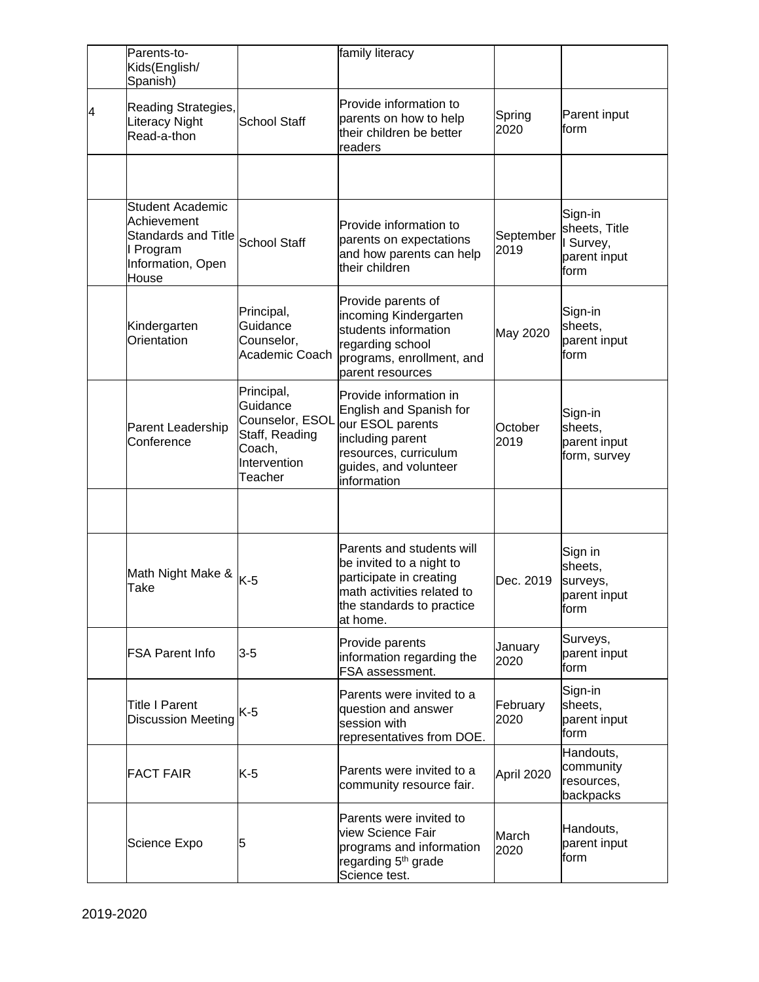|   | Parents-to-<br>Kids(English/<br>Spanish)                                                                              |                                                                                                  | family literacy                                                                                                                                            |                   |                                                               |
|---|-----------------------------------------------------------------------------------------------------------------------|--------------------------------------------------------------------------------------------------|------------------------------------------------------------------------------------------------------------------------------------------------------------|-------------------|---------------------------------------------------------------|
| 4 | Reading Strategies,<br>Literacy Night<br>Read-a-thon                                                                  | School Staff                                                                                     | Provide information to<br>parents on how to help<br>their children be better<br>readers                                                                    | Spring<br>2020    | Parent input<br>form                                          |
|   |                                                                                                                       |                                                                                                  |                                                                                                                                                            |                   |                                                               |
|   | <b>Student Academic</b><br>Achievement<br>Standards and Title School Staff<br>I Program<br>Information, Open<br>House |                                                                                                  | Provide information to<br>parents on expectations<br>and how parents can help<br>their children                                                            | September<br>2019 | Sign-in<br>sheets, Title<br>I Survey,<br>parent input<br>form |
|   | Kindergarten<br>Orientation                                                                                           | Principal,<br>Guidance<br>Counselor,<br>Academic Coach                                           | Provide parents of<br>incoming Kindergarten<br>students information<br>regarding school<br>programs, enrollment, and<br>parent resources                   | May 2020          | Sign-in<br>sheets,<br>parent input<br>form                    |
|   | Parent Leadership<br>Conference                                                                                       | Principal,<br>Guidance<br>Counselor, ESOL<br>Staff, Reading<br>Coach,<br>Intervention<br>Teacher | Provide information in<br>English and Spanish for<br>our ESOL parents<br>including parent<br>resources, curriculum<br>guides, and volunteer<br>information | October<br>2019   | Sign-in<br>sheets,<br>parent input<br>form, survey            |
|   |                                                                                                                       |                                                                                                  |                                                                                                                                                            |                   |                                                               |
|   | Math Night Make &<br><b>Take</b>                                                                                      | $K-5$                                                                                            | Parents and students will<br>be invited to a night to<br>participate in creating<br>math activities related to<br>the standards to practice<br>at home.    | Dec. 2019         | Sign in<br>sheets,<br>surveys,<br>parent input<br>form        |
|   | <b>FSA Parent Info</b>                                                                                                | $3 - 5$                                                                                          | Provide parents<br>information regarding the<br>FSA assessment.                                                                                            | January<br>2020   | Surveys,<br>parent input<br>form                              |
|   | <b>Title I Parent</b><br><b>Discussion Meeting</b>                                                                    | K-5                                                                                              | Parents were invited to a<br>question and answer<br>session with<br>representatives from DOE.                                                              | February<br>2020  | Sign-in<br>sheets,<br>parent input<br>form                    |
|   | <b>FACT FAIR</b>                                                                                                      | $K-5$                                                                                            | Parents were invited to a<br>community resource fair.                                                                                                      | April 2020        | Handouts,<br>community<br>resources,<br>backpacks             |
|   | Science Expo                                                                                                          | 5                                                                                                | Parents were invited to<br>view Science Fair<br>programs and information<br>regarding 5 <sup>th</sup> grade<br>Science test.                               | March<br>2020     | Handouts,<br>parent input<br>form                             |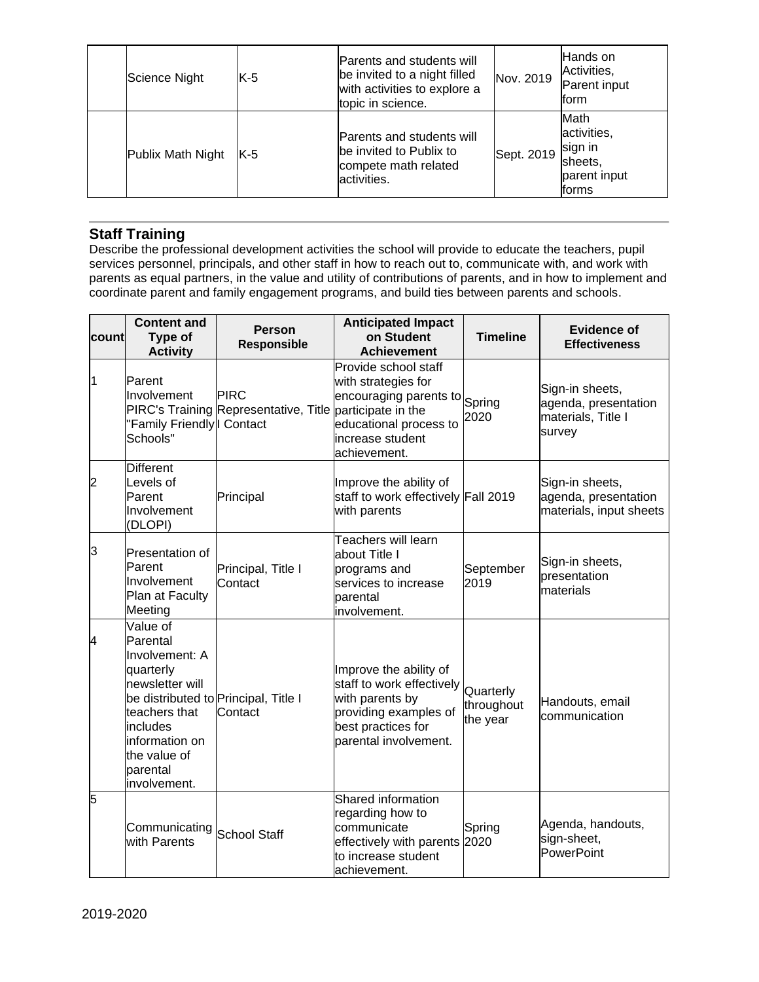| Science Night     | $K-5$ | <b>Parents and students will</b><br>be invited to a night filled<br>with activities to explore a<br>topic in science. | Nov. 2019  | Hands on<br>Activities,<br>Parent input<br>form                            |
|-------------------|-------|-----------------------------------------------------------------------------------------------------------------------|------------|----------------------------------------------------------------------------|
| Publix Math Night | $K-5$ | <b>Parents and students will</b><br>be invited to Publix to<br>compete math related<br>activities.                    | Sept. 2019 | Math<br>activities,<br>sign in<br>sheets,<br>parent input<br><b>Iforms</b> |

# **Staff Training**

Describe the professional development activities the school will provide to educate the teachers, pupil services personnel, principals, and other staff in how to reach out to, communicate with, and work with parents as equal partners, in the value and utility of contributions of parents, and in how to implement and coordinate parent and family engagement programs, and build ties between parents and schools.

| count          | <b>Content and</b><br><b>Type of</b><br><b>Activity</b>                                                                                                                                                   | <b>Person</b><br>Responsible                                            | <b>Anticipated Impact</b><br>on Student<br><b>Achievement</b>                                                                                  | <b>Timeline</b>                     | <b>Evidence of</b><br><b>Effectiveness</b>                              |
|----------------|-----------------------------------------------------------------------------------------------------------------------------------------------------------------------------------------------------------|-------------------------------------------------------------------------|------------------------------------------------------------------------------------------------------------------------------------------------|-------------------------------------|-------------------------------------------------------------------------|
| $\overline{1}$ | Parent<br>Involvement<br>"Family Friendly   Contact<br>Schools"                                                                                                                                           | <b>PIRC</b><br>PIRC's Training Representative, Title participate in the | Provide school staff<br>with strategies for<br>encouraging parents to Spring<br>educational process to<br>increase student<br>achievement.     | 2020                                | Sign-in sheets,<br>agenda, presentation<br>materials, Title I<br>survey |
| $\overline{c}$ | <b>Different</b><br>Levels of<br>Parent<br>Involvement<br>(DLOPI)                                                                                                                                         | Principal                                                               | Improve the ability of<br>staff to work effectively Fall 2019<br>with parents                                                                  |                                     | Sign-in sheets,<br>agenda, presentation<br>materials, input sheets      |
| 3              | Presentation of<br>Parent<br>Involvement<br>Plan at Faculty<br>Meeting                                                                                                                                    | Principal, Title I<br>Contact                                           | Teachers will learn<br>about Title I<br>programs and<br>services to increase<br>parental<br>involvement.                                       | September<br>2019                   | Sign-in sheets,<br>presentation<br>materials                            |
| 4              | Value of<br>Parental<br>Involvement: A<br>quarterly<br>newsletter will<br>be distributed to Principal, Title I<br>teachers that<br>includes<br>information on<br>the value of<br>parental<br>involvement. | Contact                                                                 | Improve the ability of<br>staff to work effectively<br>with parents by<br>providing examples of<br>best practices for<br>parental involvement. | Quarterly<br>throughout<br>the year | Handouts, email<br>communication                                        |
| 5              | Communicating<br>with Parents                                                                                                                                                                             | <b>School Staff</b>                                                     | Shared information<br>regarding how to<br>communicate<br>effectively with parents 2020<br>to increase student<br>lachievement.                 | Spring                              | Agenda, handouts,<br>sign-sheet,<br>PowerPoint                          |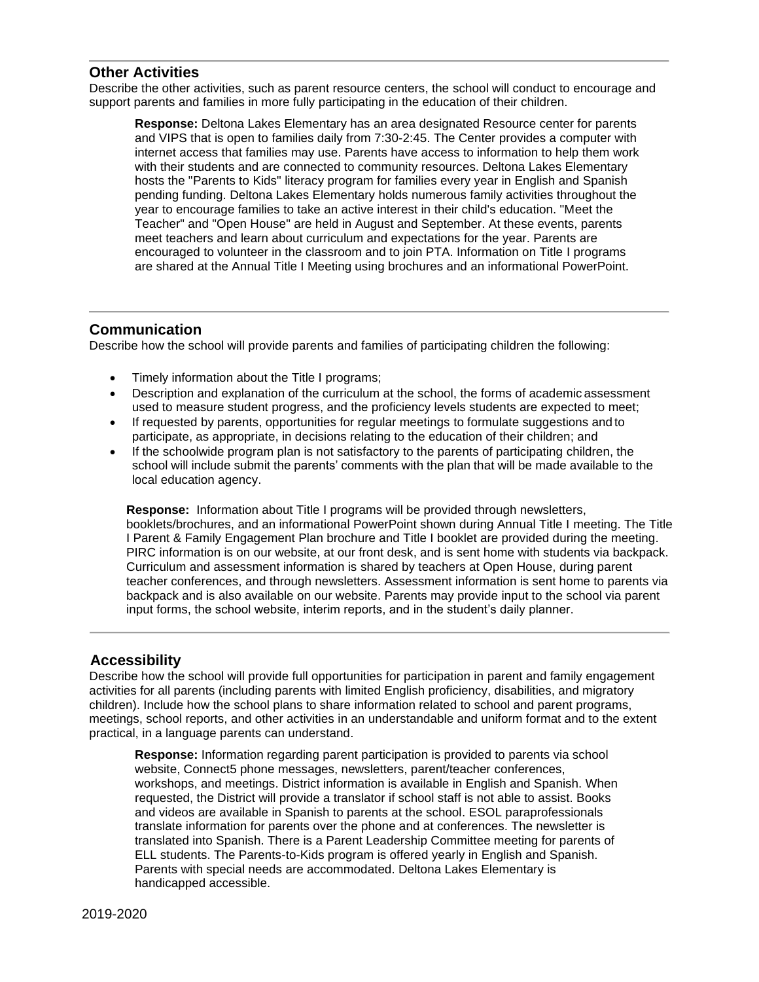#### **Other Activities**

Describe the other activities, such as parent resource centers, the school will conduct to encourage and support parents and families in more fully participating in the education of their children.

**Response:** Deltona Lakes Elementary has an area designated Resource center for parents and VIPS that is open to families daily from 7:30-2:45. The Center provides a computer with internet access that families may use. Parents have access to information to help them work with their students and are connected to community resources. Deltona Lakes Elementary hosts the "Parents to Kids" literacy program for families every year in English and Spanish pending funding. Deltona Lakes Elementary holds numerous family activities throughout the year to encourage families to take an active interest in their child's education. "Meet the Teacher" and "Open House" are held in August and September. At these events, parents meet teachers and learn about curriculum and expectations for the year. Parents are encouraged to volunteer in the classroom and to join PTA. Information on Title I programs are shared at the Annual Title I Meeting using brochures and an informational PowerPoint.

### **Communication**

Describe how the school will provide parents and families of participating children the following:

- Timely information about the Title I programs;
- Description and explanation of the curriculum at the school, the forms of academic assessment used to measure student progress, and the proficiency levels students are expected to meet;
- If requested by parents, opportunities for regular meetings to formulate suggestions and to participate, as appropriate, in decisions relating to the education of their children; and
- If the schoolwide program plan is not satisfactory to the parents of participating children, the school will include submit the parents' comments with the plan that will be made available to the local education agency.

**Response:** Information about Title I programs will be provided through newsletters, booklets/brochures, and an informational PowerPoint shown during Annual Title I meeting. The Title I Parent & Family Engagement Plan brochure and Title I booklet are provided during the meeting. PIRC information is on our website, at our front desk, and is sent home with students via backpack. Curriculum and assessment information is shared by teachers at Open House, during parent teacher conferences, and through newsletters. Assessment information is sent home to parents via backpack and is also available on our website. Parents may provide input to the school via parent input forms, the school website, interim reports, and in the student's daily planner.

## **Accessibility**

Describe how the school will provide full opportunities for participation in parent and family engagement activities for all parents (including parents with limited English proficiency, disabilities, and migratory children). Include how the school plans to share information related to school and parent programs, meetings, school reports, and other activities in an understandable and uniform format and to the extent practical, in a language parents can understand.

**Response:** Information regarding parent participation is provided to parents via school website, Connect5 phone messages, newsletters, parent/teacher conferences, workshops, and meetings. District information is available in English and Spanish. When requested, the District will provide a translator if school staff is not able to assist. Books and videos are available in Spanish to parents at the school. ESOL paraprofessionals translate information for parents over the phone and at conferences. The newsletter is translated into Spanish. There is a Parent Leadership Committee meeting for parents of ELL students. The Parents-to-Kids program is offered yearly in English and Spanish. Parents with special needs are accommodated. Deltona Lakes Elementary is handicapped accessible.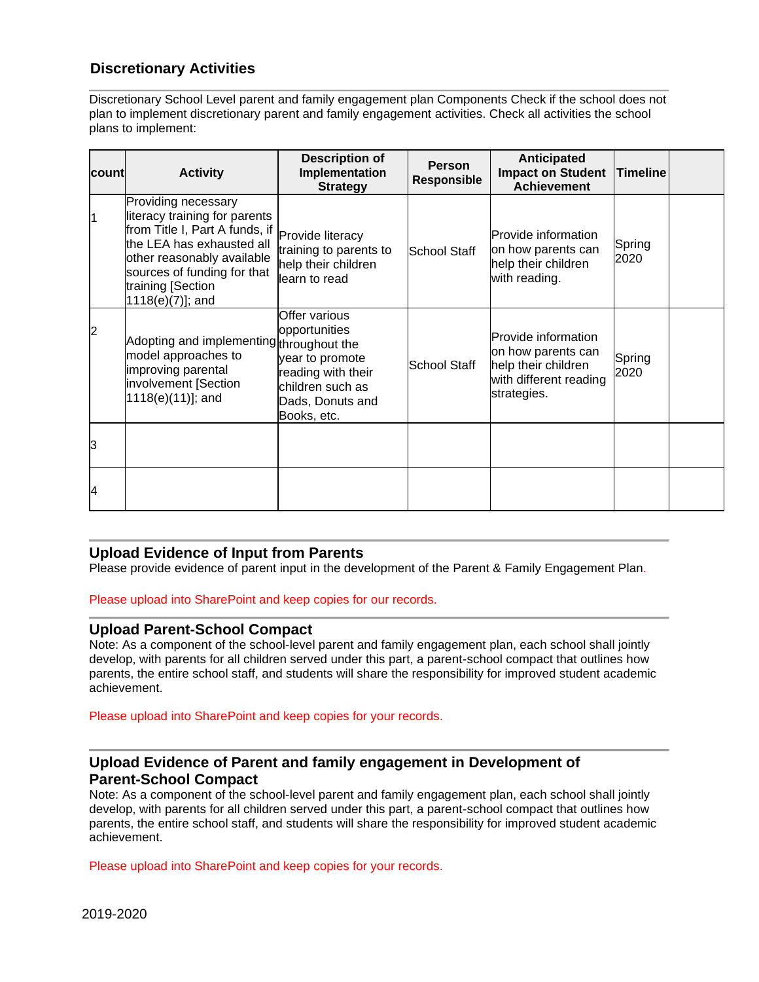# **Discretionary Activities**

Discretionary School Level parent and family engagement plan Components Check if the school does not plan to implement discretionary parent and family engagement activities. Check all activities the school plans to implement:

| Icount         | <b>Activity</b>                                                                                                                                                                                                              | <b>Description of</b><br>Implementation<br><b>Strategy</b>                                                                     | <b>Person</b><br><b>Responsible</b> | <b>Anticipated</b><br><b>Impact on Student</b><br><b>Achievement</b>                                      | <b>Timeline</b> |  |
|----------------|------------------------------------------------------------------------------------------------------------------------------------------------------------------------------------------------------------------------------|--------------------------------------------------------------------------------------------------------------------------------|-------------------------------------|-----------------------------------------------------------------------------------------------------------|-----------------|--|
| 11             | Providing necessary<br>literacy training for parents<br>from Title I, Part A funds, if<br>the LEA has exhausted all<br>other reasonably available<br>sources of funding for that<br>training [Section<br>$1118(e)(7)$ ]; and | Provide literacy<br>training to parents to<br>help their children<br>learn to read                                             | School Staff                        | <b>Provide information</b><br>on how parents can<br>help their children<br>with reading.                  | Spring<br>2020  |  |
| $\overline{2}$ | Adopting and implementing throughout the<br>model approaches to<br>improving parental<br>involvement [Section<br>1118(e)(11)]; and                                                                                           | Offer various<br>opportunities<br>year to promote<br>reading with their<br>children such as<br>Dads, Donuts and<br>Books, etc. | <b>School Staff</b>                 | Provide information<br>on how parents can<br>help their children<br>with different reading<br>strategies. | Spring<br>2020  |  |
| З              |                                                                                                                                                                                                                              |                                                                                                                                |                                     |                                                                                                           |                 |  |
| 4              |                                                                                                                                                                                                                              |                                                                                                                                |                                     |                                                                                                           |                 |  |

#### **Upload Evidence of Input from Parents**

Please provide evidence of parent input in the development of the Parent & Family Engagement Plan.

Please upload into SharePoint and keep copies for our records.

#### **Upload Parent-School Compact**

Note: As a component of the school-level parent and family engagement plan, each school shall jointly develop, with parents for all children served under this part, a parent-school compact that outlines how parents, the entire school staff, and students will share the responsibility for improved student academic achievement.

Please upload into SharePoint and keep copies for your records.

## **Upload Evidence of Parent and family engagement in Development of Parent-School Compact**

Note: As a component of the school-level parent and family engagement plan, each school shall jointly develop, with parents for all children served under this part, a parent-school compact that outlines how parents, the entire school staff, and students will share the responsibility for improved student academic achievement.

Please upload into SharePoint and keep copies for your records.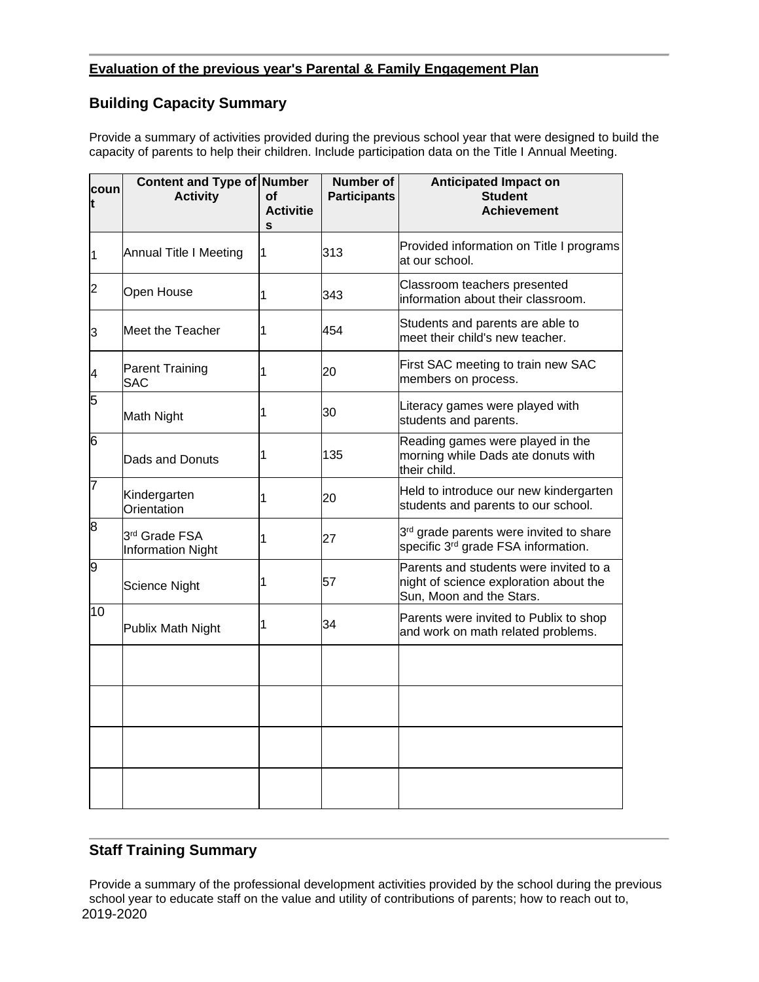### **Evaluation of the previous year's Parental & Family Engagement Plan**

# **Building Capacity Summary**

Provide a summary of activities provided during the previous school year that were designed to build the capacity of parents to help their children. Include participation data on the Title I Annual Meeting.

| coun<br>t | Content and Type of Number<br><b>Activity</b> | Οf<br><b>Activitie</b><br>S | <b>Number of</b><br><b>Participants</b> | <b>Anticipated Impact on</b><br><b>Student</b><br><b>Achievement</b>                                         |
|-----------|-----------------------------------------------|-----------------------------|-----------------------------------------|--------------------------------------------------------------------------------------------------------------|
| 1         | Annual Title I Meeting                        | 1                           | 313                                     | Provided information on Title I programs<br>at our school.                                                   |
| 2         | Open House                                    | 1                           | 343                                     | Classroom teachers presented<br>information about their classroom.                                           |
| 3         | Meet the Teacher                              | 1                           | 454                                     | Students and parents are able to<br>meet their child's new teacher.                                          |
| 4         | <b>Parent Training</b><br><b>SAC</b>          | 1                           | 20                                      | First SAC meeting to train new SAC<br>members on process.                                                    |
| 5         | Math Night                                    | 1                           | 30                                      | Literacy games were played with<br>students and parents.                                                     |
| 6         | Dads and Donuts                               | 1                           | 135                                     | Reading games were played in the<br>morning while Dads ate donuts with<br>their child.                       |
| 7         | Kindergarten<br>Orientation                   | 1                           | 20                                      | Held to introduce our new kindergarten<br>students and parents to our school.                                |
| 8         | 3rd Grade FSA<br>Information Night            | 1                           | 27                                      | 3 <sup>rd</sup> grade parents were invited to share<br>specific 3 <sup>rd</sup> grade FSA information.       |
| 9         | <b>Science Night</b>                          | 1                           | 57                                      | Parents and students were invited to a<br>night of science exploration about the<br>Sun, Moon and the Stars. |
| 10        | Publix Math Night                             | 1                           | 34                                      | Parents were invited to Publix to shop<br>and work on math related problems.                                 |
|           |                                               |                             |                                         |                                                                                                              |
|           |                                               |                             |                                         |                                                                                                              |
|           |                                               |                             |                                         |                                                                                                              |
|           |                                               |                             |                                         |                                                                                                              |

## **Staff Training Summary**

2019-2020 Provide a summary of the professional development activities provided by the school during the previous school year to educate staff on the value and utility of contributions of parents; how to reach out to,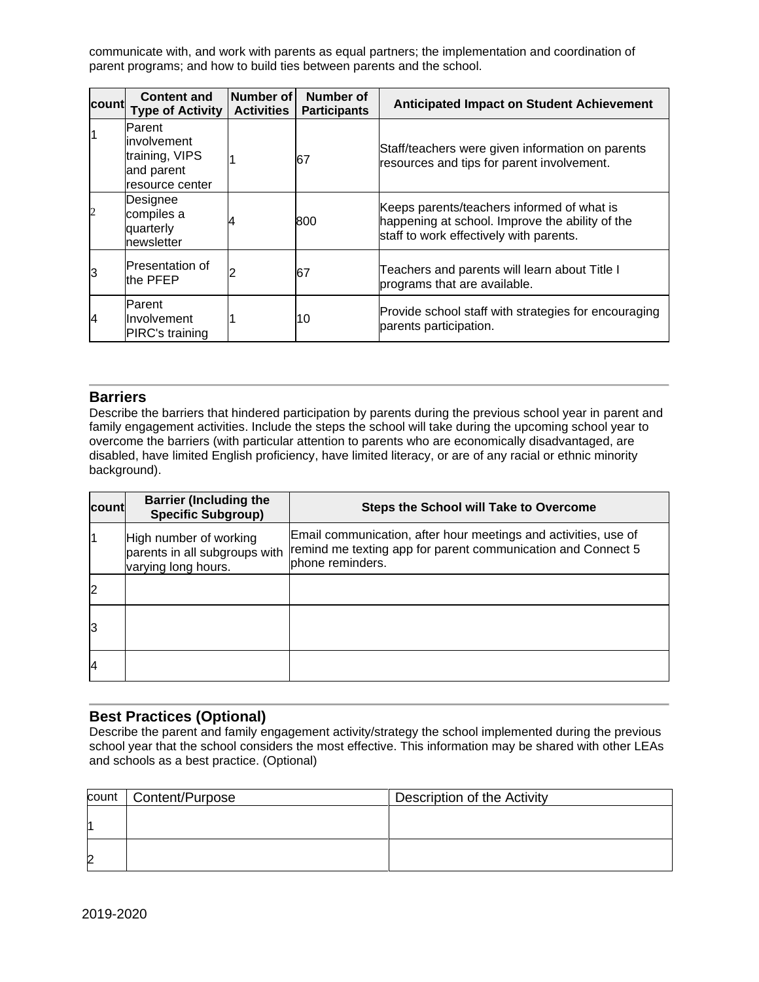communicate with, and work with parents as equal partners; the implementation and coordination of parent programs; and how to build ties between parents and the school.

| count | <b>Content and</b><br><b>Type of Activity</b>                                   | Number of<br><b>Activities</b> | Number of<br><b>Participants</b> | <b>Anticipated Impact on Student Achievement</b>                                                                                         |
|-------|---------------------------------------------------------------------------------|--------------------------------|----------------------------------|------------------------------------------------------------------------------------------------------------------------------------------|
|       | Parent<br><i>involvement</i><br>training, VIPS<br>and parent<br>resource center |                                | 67                               | Staff/teachers were given information on parents<br>resources and tips for parent involvement.                                           |
|       | Designee<br>compiles a<br>quarterly<br>newsletter                               |                                | 800                              | Keeps parents/teachers informed of what is<br>happening at school. Improve the ability of the<br>staff to work effectively with parents. |
|       | <b>Presentation of</b><br>the PFEP                                              |                                | 67                               | Teachers and parents will learn about Title I<br>programs that are available.                                                            |
| 14    | Parent<br>Involvement<br>PIRC's training                                        |                                | 10                               | Provide school staff with strategies for encouraging<br>parents participation.                                                           |

#### **Barriers**

Describe the barriers that hindered participation by parents during the previous school year in parent and family engagement activities. Include the steps the school will take during the upcoming school year to overcome the barriers (with particular attention to parents who are economically disadvantaged, are disabled, have limited English proficiency, have limited literacy, or are of any racial or ethnic minority background).

| <b>count</b>   | <b>Barrier (Including the</b><br><b>Specific Subgroup)</b>                     | <b>Steps the School will Take to Overcome</b>                                                                                                       |
|----------------|--------------------------------------------------------------------------------|-----------------------------------------------------------------------------------------------------------------------------------------------------|
|                | High number of working<br>parents in all subgroups with<br>varying long hours. | Email communication, after hour meetings and activities, use of<br>remind me texting app for parent communication and Connect 5<br>phone reminders. |
| $\overline{2}$ |                                                                                |                                                                                                                                                     |
| 3              |                                                                                |                                                                                                                                                     |
| $\overline{4}$ |                                                                                |                                                                                                                                                     |

## **Best Practices (Optional)**

Describe the parent and family engagement activity/strategy the school implemented during the previous school year that the school considers the most effective. This information may be shared with other LEAs and schools as a best practice. (Optional)

| count | Content/Purpose | Description of the Activity |
|-------|-----------------|-----------------------------|
| и     |                 |                             |
| 2     |                 |                             |